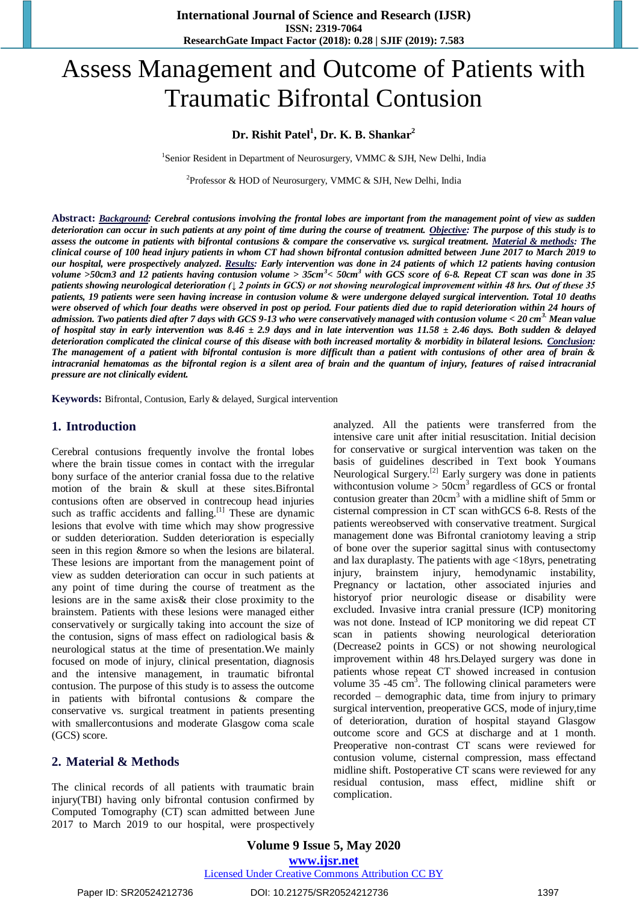# Assess Management and Outcome of Patients with Traumatic Bifrontal Contusion

### **Dr. Rishit Patel<sup>1</sup> , Dr. K. B. Shankar<sup>2</sup>**

<sup>1</sup>Senior Resident in Department of Neurosurgery, VMMC & SJH, New Delhi, India

<sup>2</sup>Professor & HOD of Neurosurgery, VMMC & SJH, New Delhi, India

**Abstract:** *Background: Cerebral contusions involving the frontal lobes are important from the management point of view as sudden deterioration can occur in such patients at any point of time during the course of treatment. Objective: The purpose of this study is to assess the outcome in patients with bifrontal contusions & compare the conservative vs. surgical treatment. Material & methods: The clinical course of 100 head injury patients in whom CT had shown bifrontal contusion admitted between June 2017 to March 2019 to our hospital, were prospectively analyzed. Results: Early intervention was done in 24 patients of which 12 patients having contusion volume >50cm3 and 12 patients having contusion volume > 35cm<sup>3</sup> < 50cm<sup>3</sup> with GCS score of 6-8. Repeat CT scan was done in 35 patients showing neurological deterioration (↓ 2 points in GCS) or not showing neurological improvement within 48 hrs. Out of these 35 patients, 19 patients were seen having increase in contusion volume & were undergone delayed surgical intervention. Total 10 deaths were observed of which four deaths were observed in post op period. Four patients died due to rapid deterioration within 24 hours of admission. Two patients died after 7 days with GCS 9-13 who were conservatively managed with contusion volume < 20 cm3. Mean value of hospital stay in early intervention was 8.46 ± 2.9 days and in late intervention was 11.58 ± 2.46 days. Both sudden & delayed deterioration complicated the clinical course of this disease with both increased mortality & morbidity in bilateral lesions. Conclusion: The management of a patient with bifrontal contusion is more difficult than a patient with contusions of other area of brain & intracranial hematomas as the bifrontal region is a silent area of brain and the quantum of injury, features of raised intracranial pressure are not clinically evident.*

**Keywords:** Bifrontal, Contusion, Early & delayed, Surgical intervention

#### **1. Introduction**

Cerebral contusions frequently involve the frontal lobes where the brain tissue comes in contact with the irregular bony surface of the anterior cranial fossa due to the relative motion of the brain & skull at these sites.Bifrontal contusions often are observed in contrecoup head injuries such as traffic accidents and falling.<sup>[1]</sup> These are dynamic lesions that evolve with time which may show progressive or sudden deterioration. Sudden deterioration is especially seen in this region &more so when the lesions are bilateral. These lesions are important from the management point of view as sudden deterioration can occur in such patients at any point of time during the course of treatment as the lesions are in the same axis& their close proximity to the brainstem. Patients with these lesions were managed either conservatively or surgically taking into account the size of the contusion, signs of mass effect on radiological basis & neurological status at the time of presentation.We mainly focused on mode of injury, clinical presentation, diagnosis and the intensive management, in traumatic bifrontal contusion. The purpose of this study is to assess the outcome in patients with bifrontal contusions & compare the conservative vs. surgical treatment in patients presenting with smallercontusions and moderate Glasgow coma scale (GCS) score.

#### **2. Material & Methods**

The clinical records of all patients with traumatic brain injury(TBI) having only bifrontal contusion confirmed by Computed Tomography (CT) scan admitted between June 2017 to March 2019 to our hospital, were prospectively analyzed. All the patients were transferred from the intensive care unit after initial resuscitation. Initial decision for conservative or surgical intervention was taken on the basis of guidelines described in Text book Youmans Neurological Surgery.[2] Early surgery was done in patients withcontusion volume  $>$  50cm<sup>3</sup> regardless of GCS or frontal contusion greater than 20cm<sup>3</sup> with a midline shift of 5mm or cisternal compression in CT scan withGCS 6-8. Rests of the patients wereobserved with conservative treatment. Surgical management done was Bifrontal craniotomy leaving a strip of bone over the superior sagittal sinus with contusectomy and lax duraplasty. The patients with age <18yrs, penetrating injury, brainstem injury, hemodynamic instability, Pregnancy or lactation, other associated injuries and historyof prior neurologic disease or disability were excluded. Invasive intra cranial pressure (ICP) monitoring was not done. Instead of ICP monitoring we did repeat CT scan in patients showing neurological deterioration (Decrease2 points in GCS) or not showing neurological improvement within 48 hrs.Delayed surgery was done in patients whose repeat CT showed increased in contusion volume  $35 - 45$  cm<sup>3</sup>. The following clinical parameters were recorded – demographic data, time from injury to primary surgical intervention, preoperative GCS, mode of injury,time of deterioration, duration of hospital stayand Glasgow outcome score and GCS at discharge and at 1 month. Preoperative non-contrast CT scans were reviewed for contusion volume, cisternal compression, mass effectand midline shift. Postoperative CT scans were reviewed for any residual contusion, mass effect, midline shift or complication.

Paper ID: SR20524212736 DOI: 10.21275/SR20524212736 1397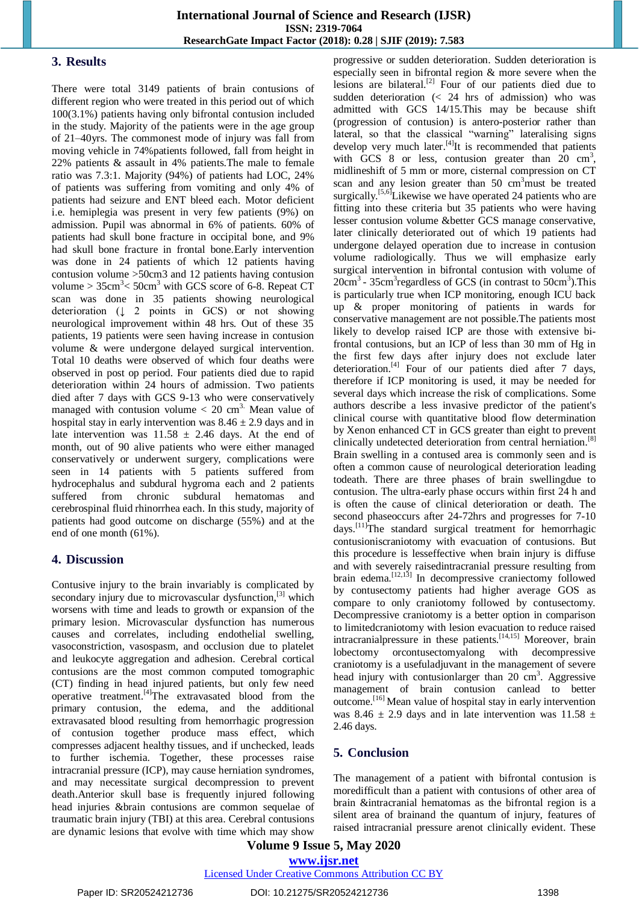#### **3. Results**

There were total 3149 patients of brain contusions of different region who were treated in this period out of which 100(3.1%) patients having only bifrontal contusion included in the study. Majority of the patients were in the age group of 21–40yrs. The commonest mode of injury was fall from moving vehicle in 74%patients followed, fall from height in 22% patients & assault in 4% patients.The male to female ratio was 7.3:1. Majority (94%) of patients had LOC, 24% of patients was suffering from vomiting and only 4% of patients had seizure and ENT bleed each. Motor deficient i.e. hemiplegia was present in very few patients (9%) on admission. Pupil was abnormal in 6% of patients. 60% of patients had skull bone fracture in occipital bone, and 9% had skull bone fracture in frontal bone.Early intervention was done in 24 patients of which 12 patients having contusion volume >50cm3 and 12 patients having contusion volume >  $35 \text{cm}^3$  <  $50 \text{cm}^3$  with GCS score of 6-8. Repeat CT scan was done in 35 patients showing neurological deterioration (↓ 2 points in GCS) or not showing neurological improvement within 48 hrs. Out of these 35 patients, 19 patients were seen having increase in contusion volume & were undergone delayed surgical intervention. Total 10 deaths were observed of which four deaths were observed in post op period. Four patients died due to rapid deterioration within 24 hours of admission. Two patients died after 7 days with GCS 9-13 who were conservatively managed with contusion volume  $< 20$  cm<sup>3.</sup> Mean value of hospital stay in early intervention was  $8.46 \pm 2.9$  days and in late intervention was  $11.58 \pm 2.46$  days. At the end of month, out of 90 alive patients who were either managed conservatively or underwent surgery, complications were seen in 14 patients with 5 patients suffered from hydrocephalus and subdural hygroma each and 2 patients suffered from chronic subdural hematomas and cerebrospinal fluid rhinorrhea each. In this study, majority of patients had good outcome on discharge (55%) and at the end of one month (61%).

#### **4. Discussion**

Contusive injury to the brain invariably is complicated by secondary injury due to microvascular dysfunction,<sup>[3]</sup> which worsens with time and leads to growth or expansion of the primary lesion. Microvascular dysfunction has numerous causes and correlates, including endothelial swelling, vasoconstriction, vasospasm, and occlusion due to platelet and leukocyte aggregation and adhesion. Cerebral cortical contusions are the most common computed tomographic (CT) finding in head injured patients, but only few need operative treatment.[4]The extravasated blood from the primary contusion, the edema, and the additional extravasated blood resulting from hemorrhagic progression of contusion together produce mass effect, which compresses adjacent healthy tissues, and if unchecked, leads to further ischemia. Together, these processes raise intracranial pressure (ICP), may cause herniation syndromes, and may necessitate surgical decompression to prevent death.Anterior skull base is frequently injured following head injuries &brain contusions are common sequelae of traumatic brain injury (TBI) at this area. Cerebral contusions are dynamic lesions that evolve with time which may show

progressive or sudden deterioration. Sudden deterioration is especially seen in bifrontal region & more severe when the lesions are bilateral.<sup>[2]</sup> Four of our patients died due to sudden deterioration (< 24 hrs of admission) who was admitted with GCS 14/15.This may be because shift (progression of contusion) is antero-posterior rather than lateral, so that the classical "warning" lateralising signs develop very much later.<sup>[4]</sup>It is recommended that patients with GCS  $\,8\,$  or less, contusion greater than  $20\,$  cm<sup>3</sup>, midlineshift of 5 mm or more, cisternal compression on CT scan and any lesion greater than  $50 \text{ cm}^3$  must be treated surgically.<sup>[5,6]</sup>Likewise we have operated 24 patients who are fitting into these criteria but 35 patients who were having lesser contusion volume &better GCS manage conservative, later clinically deteriorated out of which 19 patients had undergone delayed operation due to increase in contusion volume radiologically. Thus we will emphasize early surgical intervention in bifrontal contusion with volume of 20cm<sup>3</sup> - 35cm<sup>3</sup> regardless of GCS (in contrast to 50cm<sup>3</sup>). This is particularly true when ICP monitoring, enough ICU back up & proper monitoring of patients in wards for conservative management are not possible.The patients most likely to develop raised ICP are those with extensive bifrontal contusions, but an ICP of less than 30 mm of Hg in the first few days after injury does not exclude later deterioration.<sup>[4]</sup> Four of our patients died after 7 days, therefore if ICP monitoring is used, it may be needed for several days which increase the risk of complications. Some authors describe a less invasive predictor of the patient's clinical course with quantitative blood flow determination by Xenon enhanced CT in GCS greater than eight to prevent clinically undetected deterioration from central herniation. [8] Brain swelling in a contused area is commonly seen and is often a common cause of neurological deterioration leading todeath. There are three phases of brain swellingdue to contusion. The ultra-early phase occurs within first 24 h and is often the cause of clinical deterioration or death. The second phaseoccurs after 24-72hrs and progresses for 7-10 days.<sup>[11]</sup>The standard surgical treatment for hemorrhagic contusioniscraniotomy with evacuation of contusions. But this procedure is lesseffective when brain injury is diffuse and with severely raisedintracranial pressure resulting from brain edema.<sup>[12,13]</sup> In decompressive craniectomy followed by contusectomy patients had higher average GOS as compare to only craniotomy followed by contusectomy. Decompressive craniotomy is a better option in comparison to limitedcraniotomy with lesion evacuation to reduce raised intracranialpressure in these patients.<sup>[14,15]</sup> Moreover, brain lobectomy orcontusectomyalong with decompressive craniotomy is a usefuladjuvant in the management of severe head injury with contusionlarger than  $20 \text{ cm}^3$ . Aggressive management of brain contusion canlead to better outcome.[16] Mean value of hospital stay in early intervention was 8.46  $\pm$  2.9 days and in late intervention was 11.58  $\pm$ 2.46 days.

# **5. Conclusion**

The management of a patient with bifrontal contusion is moredifficult than a patient with contusions of other area of brain &intracranial hematomas as the bifrontal region is a silent area of brainand the quantum of injury, features of raised intracranial pressure arenot clinically evident. These

# **Volume 9 Issue 5, May 2020 www.ijsr.net**

#### Licensed Under Creative Commons Attribution CC BY